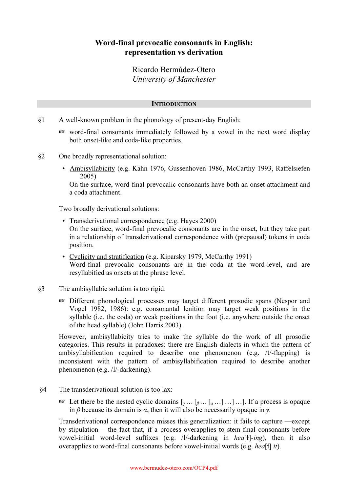# Word-final prevocalic consonants in English: representation vs derivation

Ricardo Bermúdez-Otero University of Manchester

# **INTRODUCTION**

- §1 A well-known problem in the phonology of present-day English:
	- $\mathbb{R}$  word-final consonants immediately followed by a vowel in the next word display both onset-like and coda-like properties.
- §2 One broadly representational solution:
	- Ambisyllabicity (e.g. Kahn 1976, Gussenhoven 1986, McCarthy 1993, Raffelsiefen 2005)

On the surface, word-final prevocalic consonants have both an onset attachment and a coda attachment.

Two broadly derivational solutions:

- Transderivational correspondence (e.g. Hayes 2000) On the surface, word-final prevocalic consonants are in the onset, but they take part in a relationship of transderivational correspondence with (prepausal) tokens in coda position.
- Cyclicity and stratification (e.g. Kiparsky 1979, McCarthy 1991) Word-final prevocalic consonants are in the coda at the word-level, and are resyllabified as onsets at the phrase level.
- §3 The ambisyllabic solution is too rigid:
	- <sup>1</sup> Different phonological processes may target different prosodic spans (Nespor and Vogel 1982, 1986): e.g. consonantal lenition may target weak positions in the syllable (i.e. the coda) or weak positions in the foot (i.e. anywhere outside the onset of the head syllable) (John Harris 2003).

However, ambisyllabicity tries to make the syllable do the work of all prosodic categories. This results in paradoxes: there are English dialects in which the pattern of ambisyllabification required to describe one phenomenon (e.g. /t/-flapping) is inconsistent with the pattern of ambisyllabification required to describe another phenomenon (e.g. /l/-darkening).

- §4 The transderivational solution is too lax:
	- $\mathbb{R}$  Let there be the nested cyclic domains  $[\mathbf{y} \dots [\mathbf{g} \dots [\mathbf{g} \dots ] \dots ] \dots]$ . If a process is opaque in β because its domain is  $\alpha$ , then it will also be necessarily opaque in  $\gamma$ .

 Transderivational correspondence misses this generalization: it fails to capture —except by stipulation— the fact that, if a process overapplies to stem-final consonants before vowel-initial word-level suffixes (e.g.  $/1$ /-darkening in  $heaf$ ]-ing), then it also overapplies to word-final consonants before vowel-initial words (e.g. *hea*[1] it).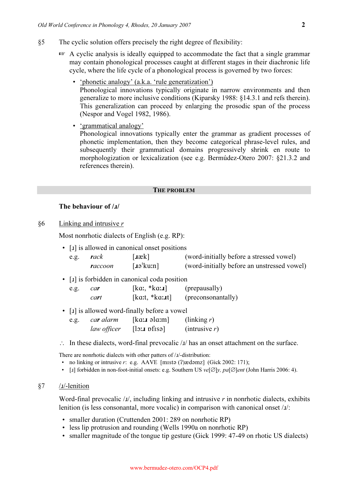- §5 The cyclic solution offers precisely the right degree of flexibility:
	- $\mathbb{R}$  A cyclic analysis is ideally equipped to accommodate the fact that a single grammar may contain phonological processes caught at different stages in their diachronic life cycle, where the life cycle of a phonological process is governed by two forces:
		- 'phonetic analogy' (a.k.a. 'rule generatization') Phonological innovations typically originate in narrow environments and then generalize to more inclusive conditions (Kiparsky 1988: §14.3.1 and refs therein). This generalization can proceed by enlarging the prosodic span of the process (Nespor and Vogel 1982, 1986).
		- 'grammatical analogy'

 Phonological innovations typically enter the grammar as gradient processes of phonetic implementation, then they become categorical phrase-level rules, and subsequently their grammatical domains progressively shrink en route to morphologization or lexicalization (see e.g. Bermúdez-Otero 2007: §21.3.2 and references therein).

#### THE PROBLEM

# The behaviour of /x/

 $§6$  Linking and intrusive r

Most nonrhotic dialects of English (e.g. RP):

|      |         | • [1] is allowed in canonical onset positions |                                             |
|------|---------|-----------------------------------------------|---------------------------------------------|
| e.g. | rack    | [ <b>ak</b> ]                                 | (word-initially before a stressed vowel)    |
|      | raccoon | $[a^{\dagger}]$ ku:n                          | (word-initially before an unstressed vowel) |

### • [J] is forbidden in canonical coda position

| e.g. | car  | $[ka, *ka:]=$ | (prepausally)      |
|------|------|---------------|--------------------|
|      | cart | $[kat, *kat]$ | (preconsonantally) |

• [I] is allowed word-finally before a vowel

| e.g. | ca <b>r</b> alarm | [ka:J ala: m]             | $\left(\text{linking } r\right)$ |
|------|-------------------|---------------------------|----------------------------------|
|      | law officer       | $[$ lo: $\mu$ pfisə $\mu$ | (intrusive r)                    |

 $\therefore$  In these dialects, word-final prevocalic  $\Delta t$  has an onset attachment on the surface.

There are nonrhotic dialects with other patters of  $/1$ -distribution:

- no linking or intrusive r: e.g. AAVE [mista (?)  $\alpha$  damz] (Gick 2002: 171);
- [I] forbidden in non-foot-initial onsets: e.g. Southern US ve[ $\emptyset$ ]y, pa[ $\emptyset$ ]ent (John Harris 2006: 4).

#### $\S7$  /*I*/-lenition

Word-final prevocalic  $\lambda x$ , including linking and intrusive r in nonrhotic dialects, exhibits lenition (is less consonantal, more vocalic) in comparison with canonical onset  $\mu$ :

- smaller duration (Cruttenden 2001: 289 on nonrhotic RP)
- less lip protrusion and rounding (Wells 1990a on nonrhotic RP)
- smaller magnitude of the tongue tip gesture (Gick 1999: 47-49 on rhotic US dialects)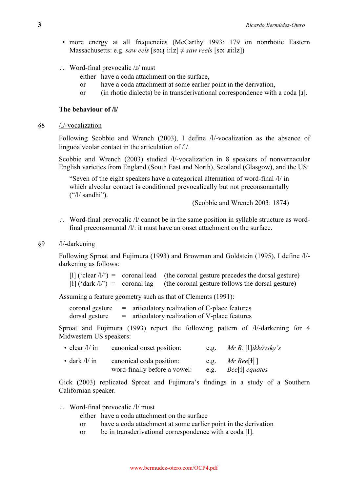- more energy at all frequencies (McCarthy 1993: 179 on nonrhotic Eastern Massachusetts: e.g. *saw eels* [so:**4** i:lz]  $\neq$  *saw reels* [so: **u**i:lz])
- ∴ Word-final prevocalic  $\lambda$  must
	- either have a coda attachment on the surface,
	- or have a coda attachment at some earlier point in the derivation,
	- or (in rhotic dialects) be in transderivational correspondence with a coda [1].

# The behaviour of /l/

# §8 /l/-vocalization

Following Scobbie and Wrench (2003), I define /l/-vocalization as the absence of linguoalveolar contact in the articulation of /l/.

Scobbie and Wrench (2003) studied /l/-vocalization in 8 speakers of nonvernacular English varieties from England (South East and North), Scotland (Glasgow), and the US:

"Seven of the eight speakers have a categorical alternation of word-final /l/ in which alveolar contact is conditioned prevocalically but not preconsonantally ("/l/ sandhi").

(Scobbie and Wrench 2003: 1874)

∴ Word-final prevocalic /l/ cannot be in the same position in syllable structure as wordfinal preconsonantal  $\Delta/2$ : it must have an onset attachment on the surface.

## §9 /l/-darkening

Following Sproat and Fujimura (1993) and Browman and Goldstein (1995), I define /l/ darkening as follows:

[1] ('clear  $\Lambda$ ') = coronal lead (the coronal gesture precedes the dorsal gesture)  $[t]$  ('dark /l') = coronal lag (the coronal gesture follows the dorsal gesture)

Assuming a feature geometry such as that of Clements (1991):

coronal gesture  $=$  articulatory realization of C-place features  $dorsal$  gesture  $=$  articulatory realization of V-place features

Sproat and Fujimura (1993) report the following pattern of /l/-darkening for 4 Midwestern US speakers:

| • clear $/l / \text{in}$ | canonical onset position:    | e.g. | $Mr B.$ [1] ikkóvsky's  |
|--------------------------|------------------------------|------|-------------------------|
| • dark $/l / in$         | canonical coda position:     | e.g. | $Mr$ Bee[ $\dagger$   ] |
|                          | word-finally before a vowel: | e.g. | Bee[t] equates          |

Gick (2003) replicated Sproat and Fujimura's findings in a study of a Southern Californian speaker.

∴ Word-final prevocalic /l/ must

- either have a coda attachment on the surface
- or have a coda attachment at some earlier point in the derivation
- or be in transderivational correspondence with a coda [l].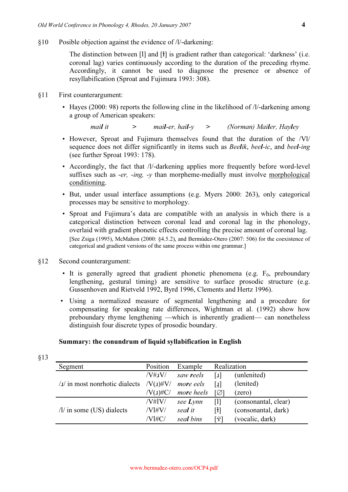§10 Posible objection against the evidence of /l/-darkening:

The distinction between [1] and [1] is gradient rather than categorical: 'darkness' (i.e. coronal lag) varies continuously according to the duration of the preceding rhyme. Accordingly, it cannot be used to diagnose the presence or absence of resyllabification (Sproat and Fujimura 1993: 308).

- §11 First counterargument:
	- Hayes (2000: 98) reports the following cline in the likelihood of /l/-darkening among a group of American speakers:

mail it  $\qquad \qquad > \qquad$  mail-er, hail-y  $\qquad \qquad > \qquad$  (Norman) Mailer, Hayley

- However, Sproat and Fujimura themselves found that the duration of the /Vl/ sequence does not differ significantly in items such as Beelik, beel-ic, and beel-ing (see further Sproat 1993: 178).
- Accordingly, the fact that /l/-darkening applies more frequently before word-level suffixes such as  $-er$ ,  $-ing$ ,  $-y$  than morpheme-medially must involve morphological conditioning.
- But, under usual interface assumptions (e.g. Myers 2000: 263), only categorical processes may be sensitive to morphology.
- Sproat and Fujimura's data are compatible with an analysis in which there is a categorical distinction between coronal lead and coronal lag in the phonology, overlaid with gradient phonetic effects controlling the precise amount of coronal lag. [See Zsiga (1995), McMahon (2000: §4.5.2), and Bermúdez-Otero (2007: 506) for the coexistence of categorical and gradient versions of the same process within one grammar.]
- §12 Second counterargument:
	- It is generally agreed that gradient phonetic phenomena (e.g.  $F_0$ , preboundary lengthening, gestural timing) are sensitive to surface prosodic structure (e.g. Gussenhoven and Rietveld 1992, Byrd 1996, Clements and Hertz 1996).
	- Using a normalized measure of segmental lengthening and a procedure for compensating for speaking rate differences, Wightman et al. (1992) show how preboundary rhyme lengthening —which is inherently gradient— can nonetheless distinguish four discrete types of prosodic boundary.

# Summary: the conundrum of liquid syllabification in English

| Segment                              | Position        | Example     |     | Realization          |
|--------------------------------------|-----------------|-------------|-----|----------------------|
|                                      | $/V#_{\rm J}V/$ | saw reels   | 1   | (unlenited)          |
| $\lambda$ in most nonrhotic dialects | $/V(J)$ #V/     | more eels   | [1] | (lenited)            |
|                                      | $/V(1)\#C/$     | more heels  | [Ø] | (zero)               |
|                                      | /V#IV/          | see $L$ ynn | Ш   | (consonantal, clear) |
| $/1/$ in some (US) dialects          | /Vl#V/          | seal it     | [ł] | (consonantal, dark)  |
|                                      | $/V$ l#C/       | seal bins   | [ジ] | (vocalic, dark)      |

§13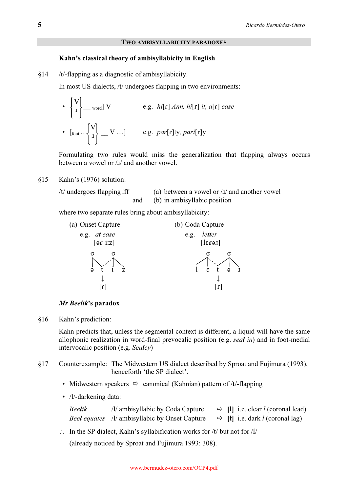### TWO AMBISYLLABICITY PARADOXES

# Kahn's classical theory of ambisyllabicity in English

§14 /t/-flapping as a diagnostic of ambisyllabicity.

In most US dialects, /t/ undergoes flapping in two environments:

• 
$$
\begin{bmatrix} V \\ I \end{bmatrix}
$$
 - word V  
•  $\begin{bmatrix} \text{root} \end{bmatrix} \begin{bmatrix} V \\ I \end{bmatrix}$  - V ...] e.g.  $hi[r] \text{ } Ann, \text{ } hi[r] \text{ } it, \text{ } a[r] \text{ } ease$ 

Formulating two rules would miss the generalization that flapping always occurs between a vowel or / $I$ / and another vowel.

§15 Kahn's (1976) solution:

 $\mathbf{r}$ 

```
/t/ undergoes flapping iff \qquad \qquad (a) between a vowel or \frac{1}{\sqrt{2}} and another vowel
                    and (b) in ambisyllabic position
```
where two separate rules bring about ambisyllabicity:



# Mr Beelik's paradox

§16 Kahn's prediction:

Kahn predicts that, unless the segmental context is different, a liquid will have the same allophonic realization in word-final prevocalic position (e.g. seal in) and in foot-medial intervocalic position (e.g. Sealey)

- §17 Counterexample: The Midwestern US dialect described by Sproat and Fujimura (1993), henceforth 'the SP dialect'.
- Midwestern speakers  $\Rightarrow$  canonical (Kahnian) pattern of /t/-flapping
	- /l/-darkening data:

| <b>Beelik</b> | $\frac{1}{2}$ ambisyllabic by Coda Capture            | $\Rightarrow$ [I] i.e. clear <i>l</i> (coronal lead)        |
|---------------|-------------------------------------------------------|-------------------------------------------------------------|
|               | <i>Beel equates /l/ ambisyllabic by Onset Capture</i> | $\Rightarrow$ [ <b>f</b> ] i.e. dark <i>l</i> (coronal lag) |

∴ In the SP dialect, Kahn's syllabification works for  $/t/$  but not for  $/l/$ 

(already noticed by Sproat and Fujimura 1993: 308).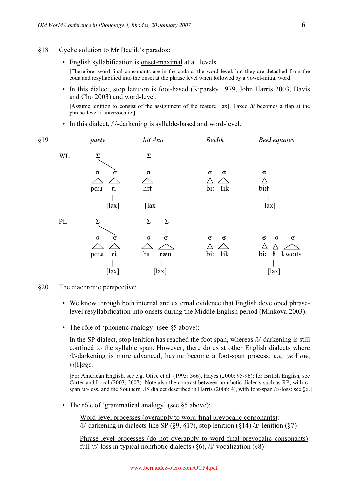#### §18 Cyclic solution to Mr Beelik's paradox:

• English syllabification is onset-maximal at all levels.

[Therefore, word-final consonants are in the coda at the word level, but they are detached from the coda and resyllabified into the onset at the phrase level when followed by a vowel-initial word.]

 • In this dialect, stop lenition is foot-based (Kiparsky 1979, John Harris 2003, Davis and Cho 2003) and word-level.

[Assume lenition to consist of the assignment of the feature [lax]. Laxed /t/ becomes a flap at the phrase-level if intervocalic.]

• In this dialect, /l/-darkening is syllable-based and word-level.

| §19           | party                                                         | hit Ann                                                                            | <b>Beelik</b>                      | <b>Beel</b> equates                                                             |
|---------------|---------------------------------------------------------------|------------------------------------------------------------------------------------|------------------------------------|---------------------------------------------------------------------------------|
| $\mbox{WL}$   | Σ<br>$\sigma$<br>σ<br>ti<br>pan<br>$[$ lax $]$                | $\Sigma$<br>$\sigma$<br>hit<br>$[$ lax $]$                                         | $\sigma$<br>$\sigma$<br>bi:<br>lik | $\sigma$<br>bi:ł<br>$[$ lax $]$                                                 |
| $\mathbf{PL}$ | $\Sigma$<br>$\sigma$<br>$\sigma$<br>ri<br>pa:1<br>$[$ lax $]$ | $\Sigma$<br>$\Sigma$<br>$\sigma$<br>$\sigma$<br>$\mathbf{h}$<br>ræn<br>$[$ lax $]$ | $\sigma$<br>σ<br>bi:<br>lik        | $\sigma$<br>$\sigma$<br>$\sigma$<br>$\triangle$<br>bi: łı kweits<br>$[$ lax $]$ |

§20 The diachronic perspective:

- We know through both internal and external evidence that English developed phraselevel resyllabification into onsets during the Middle English period (Minkova 2003).
- The rôle of 'phonetic analogy' (see §5 above):

In the SP dialect, stop lenition has reached the foot span, whereas /l/-darkening is still confined to the syllable span. However, there do exist other English dialects where  $\frac{1}{4}$ -darkening is more advanced, having become a foot-span process: e.g.  $\frac{ye[1]}{ow}$ , vi[ł]age.

[For American English, see e.g. Olive et al. (1993: 366), Hayes (2000: 95-96); for British English, see Carter and Local (2003, 2007). Note also the contrast between nonrhotic dialects such as RP, with σspan /x/-loss, and the Southern US dialect described in Harris (2006: 4), with foot-span /x/-loss: see §6.]

• The rôle of 'grammatical analogy' (see §5 above):

 Word-level processes (overapply to word-final prevocalic consonants):  $/1/-$ darkening in dialects like SP (§9, §17), stop lenition (§14)  $/1/-$ lenition (§7)

 Phrase-level processes (do not overapply to word-final prevocalic consonants): full  $/J$ -loss in typical nonrhotic dialects (§6),  $/J$ -vocalization (§8)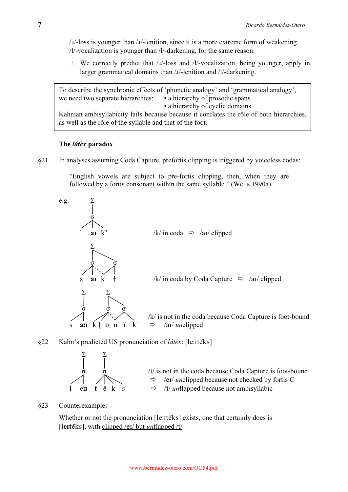$\mu$ -loss is younger than  $\mu$ -lenition, since it is a more extreme form of weakening. /l/-vocalization is younger than /l/-darkening, for the same reason.

∴ We correctly predict that  $\lambda I$ -loss and  $\lambda I$ -vocalization, being younger, apply in larger grammatical domains than /x/-lenition and /l/-darkening.

To describe the synchronic effects of 'phonetic analogy' and 'grammatical analogy', we need two separate hierarchies: • a hierarchy of prosodic spans • a hierarchy of cyclic domains Kahnian ambisyllabicity fails because because it conflates the rôle of both hierarchies, as well as the rôle of the syllable and that of the foot.

# The látèx paradox

§21 In analyses assuming Coda Capture, prefortis clipping is triggered by voiceless codas:

"English vowels are subject to pre-fortis clipping, then, when they are followed by a fortis consonant within the same syllable." (Wells 1990a)



# §22 Kahn's predicted US pronunciation of látèx: [le:1tĕks]



 $\sigma$   $\sigma$   $\sigma$  /t/ is not in the coda because Coda Capture is foot-bound /e / unclipped because not checked by fortis C  $\Rightarrow$  /t/ unflapped because not ambisyllabic

# §23 Counterexample:

Whether or not the pronunciation [le: teks] exists, one that certainly does is [lerteks], with clipped /ei/ but *unflapped /t/*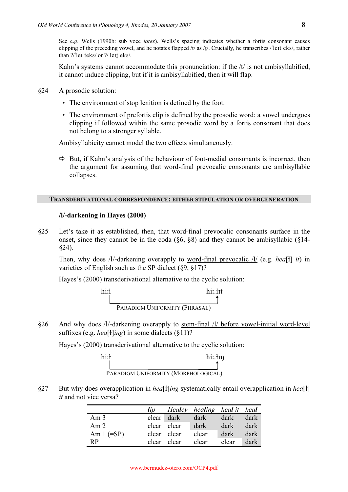See e.g. Wells (1990b: sub voce *latex*). Wells's spacing indicates whether a fortis consonant causes clipping of the preceding vowel, and he notates flapped  $/t/$  as  $/t/$ . Crucially, he transcribes  $/$ lett eks/, rather than  $?$ /'let teks/ or  $?$ /'lett eks/.

Kahn's systems cannot accommodate this pronunciation: if the /t/ is not ambisyllabified, it cannot induce clipping, but if it is ambisyllabified, then it will flap.

- §24 A prosodic solution:
	- The environment of stop lenition is defined by the foot.
	- The environment of prefortis clip is defined by the prosodic word: a vowel undergoes clipping if followed within the same prosodic word by a fortis consonant that does not belong to a stronger syllable.

Ambisyllabicity cannot model the two effects simultaneously.

 $\Rightarrow$  But, if Kahn's analysis of the behaviour of foot-medial consonants is incorrect, then the argument for assuming that word-final prevocalic consonants are ambisyllabic collapses.

## TRANSDERIVATIONAL CORRESPONDENCE: EITHER STIPULATION OR OVERGENERATION

## /l/-darkening in Hayes (2000)

§25 Let's take it as established, then, that word-final prevocalic consonants surface in the onset, since they cannot be in the coda  $(\S6, \S8)$  and they cannot be ambisyllabic  $(\S14-$ §24).

Then, why does /l/-darkening overapply to <u>word-final prevocalic  $\Lambda$ </u> (e.g. *hea*[ $\dagger$ ] *it*) in varieties of English such as the SP dialect (§9, §17)?

Hayes's (2000) transderivational alternative to the cyclic solution:



§26 And why does /l/-darkening overapply to stem-final /l/ before vowel-initial word-level suffixes (e.g. *hea*[ $\frac{1}{2}$ ]*ing*) in some dialects ( $\frac{1}{2}$ ]?

Hayes's (2000) transderivational alternative to the cyclic solution:

| hi:ł | hi:.tın                             |
|------|-------------------------------------|
|      |                                     |
|      | PARADIGM UNIFORMITY (MORPHOLOGICAL) |

§27 But why does overapplication in hea<sup>[1</sup>]ing systematically entail overapplication in hea<sup>[1</sup>] it and not vice versa?

|                 |             | lip Healey healing heal it heal |       |      |
|-----------------|-------------|---------------------------------|-------|------|
| Am <sub>3</sub> | clear dark  | dark                            | dark  | dark |
| Am <sub>2</sub> | clear clear | dark                            | dark  | dark |
| Am $1 (=SP)$    | clear clear | clear                           | dark  | dark |
| R <sub>P</sub>  | clear clear | clear                           | clear | dark |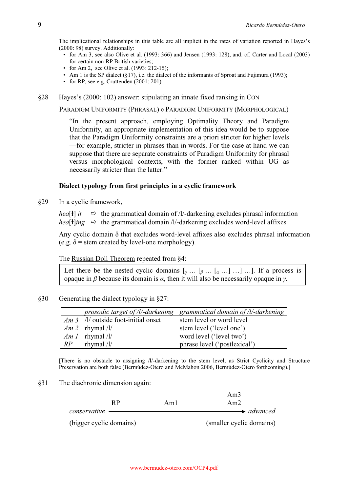The implicational relationships in this table are all implicit in the rates of variation reported in Hayes's (2000: 98) survey. Additionally:

- for Am 3, see also Olive et al. (1993: 366) and Jensen (1993: 128), and. cf. Carter and Local (2003) for certain non-RP British varieties;
- for Am 2, see Olive et al. (1993: 212-15);
- Am 1 is the SP dialect (§17), i.e. the dialect of the informants of Sproat and Fujimura (1993);
- for RP, see e.g. Cruttenden (2001: 201).
- §28 Hayes's (2000: 102) answer: stipulating an innate fixed ranking in CON

PARADIGM UNIFORMITY (PHRASAL) » PARADIGM UNIFORMITY (MORPHOLOGICAL)

"In the present approach, employing Optimality Theory and Paradigm Uniformity, an appropriate implementation of this idea would be to suppose that the Paradigm Uniformity constraints are a priori stricter for higher levels —for example, stricter in phrases than in words. For the case at hand we can suppose that there are separate constraints of Paradigm Uniformity for phrasal versus morphological contexts, with the former ranked within UG as necessarily stricter than the latter."

# Dialect typology from first principles in a cyclic framework

§29 In a cyclic framework,

hea[t] it  $\Rightarrow$  $\Rightarrow$  the grammatical domain of /l/-darkening excludes phrasal information hea[t]ing  $\Rightarrow$  the grammatical domain /l/-darkening excludes word-level affixes

 Any cyclic domain δ that excludes word-level affixes also excludes phrasal information (e.g.  $\delta$  = stem created by level-one morphology).

The Russian Doll Theorem repeated from §4:

Let there be the nested cyclic domains  $[\,y \dots [a \dots [a \dots ] \dots ] \dots]$ . If a process is opaque in β because its domain is  $\alpha$ , then it will also be necessarily opaque in  $\nu$ .

# §30 Generating the dialect typology in §27:

|    |                                            | prosodic target of $\Lambda$ -darkening grammatical domain of $\Lambda$ -darkening |
|----|--------------------------------------------|------------------------------------------------------------------------------------|
|    | <i>Am 3 /l/</i> outside foot-initial onset | stem level or word level                                                           |
|    | Am 2 rhymal $\frac{1}{\ell}$               | stem level ('level one')                                                           |
|    | <i>Am 1</i> rhymal $\frac{1}{\sqrt{2}}$    | word level ('level two')                                                           |
| RP | rhymal $/l/$                               | phrase level ('postlexical')                                                       |

[There is no obstacle to assigning /l/-darkening to the stem level, as Strict Cyclicity and Structure Preservation are both false (Bermúdez-Otero and McMahon 2006, Bermúdez-Otero forthcoming).]

§31 The diachronic dimension again:

| RP                      | Aml | Am <sub>3</sub><br>Am2   |
|-------------------------|-----|--------------------------|
| conservative            |     | $\rightarrow$ advanced   |
| (bigger cyclic domains) |     | (smaller cyclic domains) |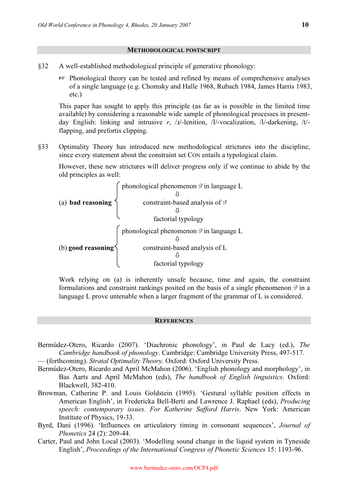#### METHODOLOGICAL POSTSCRIPT

- §32 A well-established methodological principle of generative phonology:
	- $\mathbb{R}$  Phonological theory can be tested and refined by means of comprehensive analyses of a single language (e.g. Chomsky and Halle 1968, Rubach 1984, James Harris 1983, etc.)

This paper has sought to apply this principle (as far as is possible in the limited time available) by considering a reasonable wide sample of phonological processes in presentday English: linking and intrusive r, /x/-lenition, /l/-vocalization, /l/-darkening, /t/flapping, and prefortis clipping.

§33 Optimality Theory has introduced new methodological strictures into the discipline, since every statement about the constraint set CON entails a typological claim.

 However, these new strictures will deliver progress only if we continue to abide by the old principles as well:

|                    | phonological phenomenon $\vartheta$ in language L |
|--------------------|---------------------------------------------------|
|                    |                                                   |
| (a) bad reasoning  | constraint-based analysis of $\vartheta$          |
|                    |                                                   |
|                    | factorial typology                                |
|                    | phonological phenomenon $\vartheta$ in language L |
|                    |                                                   |
| (b) good reasoning | constraint-based analysis of L                    |
|                    |                                                   |
|                    | factorial typology                                |

Work relying on (a) is inherently unsafe because, time and again, the constraint formulations and constraint rankings posited on the basis of a single phenomenon  $\vartheta$  in a language L prove untenable when a larger fragment of the grammar of L is considered.

### **REFERENCES**

- Bermúdez-Otero, Ricardo (2007). 'Diachronic phonology', in Paul de Lacy (ed.), The Cambridge handbook of phonology. Cambridge: Cambridge University Press, 497-517.
- (forthcoming). Stratal Optimality Theory. Oxford: Oxford University Press.
- Bermúdez-Otero, Ricardo and April McMahon (2006). 'English phonology and morphology', in Bas Aarts and April McMahon (eds), The handbook of English linguistics. Oxford: Blackwell, 382-410.
- Browman, Catherine P. and Louis Goldstein (1995). 'Gestural syllable position effects in American English', in Fredericka Bell-Berti and Lawrence J. Raphael (eds), Producing speech: contemporary issues. For Katherine Safford Harris. New York: American Institute of Physics, 19-33.
- Byrd, Dani (1996). 'Influences on articulatory timing in consonant sequences', *Journal of* Phonetics 24 (2): 209-44.
- Carter, Paul and John Local (2003). 'Modelling sound change in the liquid system in Tyneside English', Proceedings of the International Congress of Phonetic Sciences 15: 1193-96.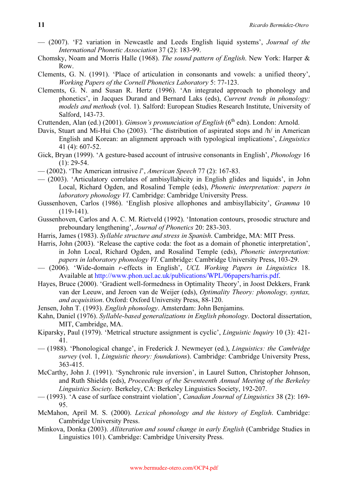- (2007). 'F2 variation in Newcastle and Leeds English liquid systems', Journal of the International Phonetic Association 37 (2): 183-99.
- Chomsky, Noam and Morris Halle (1968). The sound pattern of English. New York: Harper & Row.
- Clements, G. N. (1991). 'Place of articulation in consonants and vowels: a unified theory', Working Papers of the Cornell Phonetics Laboratory 5: 77-123.
- Clements, G. N. and Susan R. Hertz (1996). 'An integrated approach to phonology and phonetics', in Jacques Durand and Bernard Laks (eds), Current trends in phonology: models and methods (vol. 1). Salford: European Studies Research Institute, University of Salford, 143-73.
- Cruttenden, Alan (ed.) (2001). Gimson's pronunciation of English (6<sup>th</sup> edn). London: Arnold.
- Davis, Stuart and Mi-Hui Cho (2003). 'The distribution of aspirated stops and /h/ in American English and Korean: an alignment approach with typological implications', Linguistics 41 (4): 607-52.
- Gick, Bryan (1999). 'A gesture-based account of intrusive consonants in English', Phonology 16  $(1): 29-54.$
- $-$  (2002). 'The American intrusive *l'*, *American Speech 77* (2): 167-83.
- (2003). 'Articulatory correlates of ambisyllabicity in English glides and liquids', in John Local, Richard Ogden, and Rosalind Temple (eds), Phonetic interpretation: papers in laboratory phonology VI. Cambridge: Cambridge University Press.
- Gussenhoven, Carlos (1986). 'English plosive allophones and ambisyllabicity', Gramma 10 (119-141).
- Gussenhoven, Carlos and A. C. M. Rietveld (1992). 'Intonation contours, prosodic structure and preboundary lengthening', Journal of Phonetics 20: 283-303.
- Harris, James (1983). Syllable structure and stress in Spanish. Cambridge, MA: MIT Press.
- Harris, John (2003). 'Release the captive coda: the foot as a domain of phonetic interpretation', in John Local, Richard Ogden, and Rosalind Temple (eds), Phonetic interpretation: papers in laboratory phonology VI. Cambridge: Cambridge University Press, 103-29.
- (2006). 'Wide-domain r-effects in English', UCL Working Papers in Linguistics 18. Available at http://www.phon.ucl.ac.uk/publications/WPL/06papers/harris.pdf.
- Hayes, Bruce (2000). 'Gradient well-formedness in Optimality Theory', in Joost Dekkers, Frank van der Leeuw, and Jeroen van de Weijer (eds), Optimality Theory: phonology, syntax, and acquisition. Oxford: Oxford University Press, 88-120.
- Jensen, John T. (1993). English phonology. Amsterdam: John Benjamins.
- Kahn, Daniel (1976). Syllable-based generalizations in English phonology. Doctoral dissertation, MIT, Cambridge, MA.
- Kiparsky, Paul (1979). 'Metrical structure assignment is cyclic', Linguistic Inquiry 10 (3): 421- 41.
- (1988). 'Phonological change', in Frederick J. Newmeyer (ed.), Linguistics: the Cambridge survey (vol. 1, *Linguistic theory: foundations*). Cambridge: Cambridge University Press, 363-415.
- McCarthy, John J. (1991). 'Synchronic rule inversion', in Laurel Sutton, Christopher Johnson, and Ruth Shields (eds), Proceedings of the Seventeenth Annual Meeting of the Berkeley Linguistics Society. Berkeley, CA: Berkeley Linguistics Society, 192-207.
- (1993). 'A case of surface constraint violation', Canadian Journal of Linguistics 38 (2): 169- 95.
- McMahon, April M. S. (2000). Lexical phonology and the history of English. Cambridge: Cambridge University Press.
- Minkova, Donka (2003). Alliteration and sound change in early English (Cambridge Studies in Linguistics 101). Cambridge: Cambridge University Press.